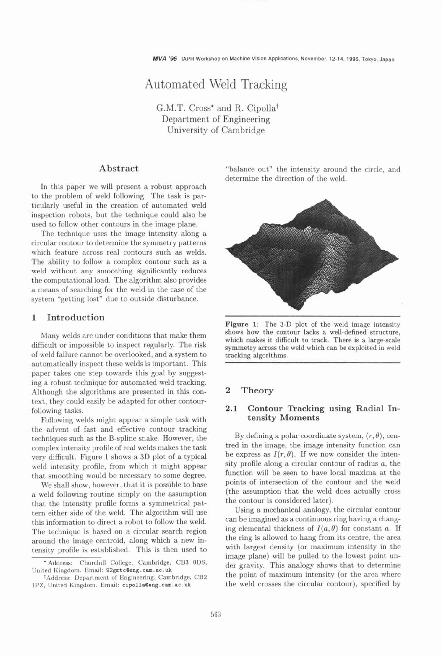# Automated Weld Tracking

G.M.T. Cross\* and R. Cipollat Department of Engineering University of Cambridge

# **Abstract**

In this paper we will present a robust approach to the problem of weld following. The task is particularly useful in the creation of automated weld inspection robots, but the technique could also be used to follow other contours in the image plane.

The technique uses the image intensity along a circular contour to determine the symmetry patterns which feature across real contours such as welds. The ability to follow a complex contour such as a weld without any smoothing significantly reduces the computational load. The algorithm also provides a means of searching for the weld in the case of the system "getting lost" due to outside disturbance.

### **1 Introduction**

Many welds are under conditions that make them difficult or impossible to inspect regularly. The risk of weld failure cannot be overlooked, and a system to automatically inspect these welds is important. This paper takes one step towards this goal by suggesting a robust technique for automated weld tracking. Although the algorithms are presented in this context, they could easily be adapted for other contourfollowing tasks.

Following welds might appear a simple task with the advent of fast and effective contour tracking techniques such as the B-spline snake. However, the complex intensity profile of real welds makes the task very difficult. Figure 1 shows a 3D plot of a typical weld intensity profile, from which it might appear that smoothing would be necessary to some degree.

We shall show, however, that it is possible to base a weld following routine simply on the assumption that the intensity profile forms a symmetrical pattern either side of the weld. The algorithm will use this information to direct a robot to follow the weld. The technique is based on a circular search region around the image centroid, along which a new intensity profile is established. This is then used to

"balance out" the intensity around the circle, and determine the direction of the weld.



**Figure** 1: The **3-D** plot of the weld image intensity shows how the contour lacks a well-defined structure, which makes it difficult to track. There is a large-scale symmetry across the weld which can be exploited in weld tracking algorithms.

### **2 Theory**

### **2.1 Contour Tracking using Radial Intensity Moments**

By defining a polar coordinate system,  $(r, \theta)$ , centred in the image, the image intensity function can be express as  $I(r, \theta)$ . If we now consider the intensity profile along a circular contour of radius a, the function will be seen to have local maxima at the points of intersection of the contour and the weld (the assumption that the weld does actually cross the contour is considered later).

Using a mechanical analogy, the circular contour can be imagined as a continuous ring having a changing elemental thickness of  $I(a, \theta)$  for constant a. If the ring is allowed to hang from its centre, the area with largest density (or maximum intensity in the image plane) will be pulled to the lowest point under gravity. This analogy shows that to determine the point of maximum intensity (or the area where the weld crosses the circular contour), specified by

<sup>\*</sup> **Address: Church111 College. Cambridge,** *CB3* ODs, **United Kingdom. Email: 92gmtcQeng. cam.ac .uk** 

**tAddress: Department of Engineering, Cambridge,** *CB2*  lPZ, **United Kingdom. Email: cipollaPeng. cam.ac .uk**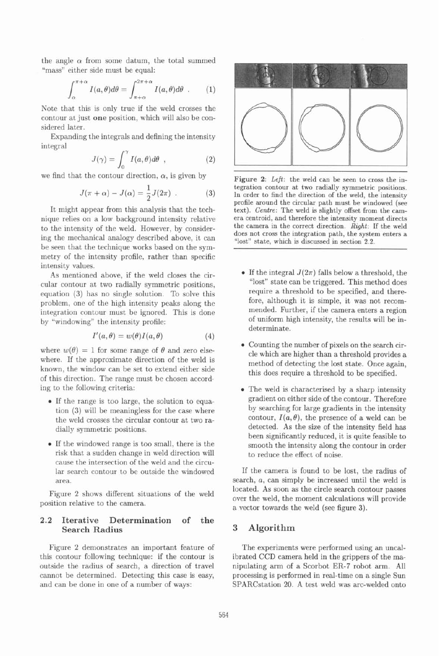the angle  $\alpha$  from some datum, the total summed "mass" either side must be equal:

$$
\int_{\alpha}^{\pi+\alpha} I(a,\theta)d\theta = \int_{\pi+\alpha}^{2\pi+\alpha} I(a,\theta)d\theta . \qquad (1)
$$

Note that this is only true if the weld crosses the contour at just **one** position, which will also be considered later.

Expanding the integrals and defining the intensity integral

$$
J(\gamma) = \int_0^{\gamma} I(a,\theta)d\theta \quad , \tag{2}
$$

we find that the contour direction,  $\alpha$ , is given by

$$
J(\pi + \alpha) - J(\alpha) = \frac{1}{2}J(2\pi) . \tag{3}
$$

It might appear from this analysis that the technique relies on a low background intensity relative to the intensity of the weld. However, by considering the mechanical analogy described above, it can be seen that the technique works based on the symmetry of the intensity profile, rather than specific intensity values.

As mentioned above, if the weld closes the circular contour at two radially symmetric positions, equation (3) has no single solution. To solve this problem, one of the high intensity peaks along the integration contour must be ignored. This is done by "windowing" the intensity profile:

$$
I'(a, \theta) = w(\theta)I(a, \theta) \tag{4}
$$

where  $w(\theta) = 1$  for some range of  $\theta$  and zero elsewhere. If the approximate direction of the weld is known, the window can be set to extend either side of this direction. The range must be chosen according to the following criteria:

- If the range is too large, the solution to equation (3) will be meaningless for the case where the weld crosses the circular contour at two radially symmetric positions.
- If the windowed range is too small, there is the risk that a sudden change in weld direction will cause the intersection of the weld and the circular search contour to be outside the windowed area.

position relative to the camera.  $\frac{1}{2}$  over the weld, the moment calculations will provide

### **2.2 Iterative Determination of the Search Radius 3 Algorithm**

this contour following technique: if the contour is ibrated CCD camera held in the grippers of the maoutside the radius of search, a direction of travel nipulating arm of a Scorbot **ER-7** robot arm. All cannot be determined. Detecting this case is easy, processing is performed in real-time on a single Sun and can be done in one of a number of ways: SPARCstation 20. A test weld was arc-welded onto



**Figure** *2: Left:* the weld can be seen to cross the integration contour at two radially symmetric positions. In order to find the direction of the weld, the intensity profile around the circular path must be windowed (see text). *Centre:* The weld is slightly offset from the camera centroid, and therefore the intensity moment directs the camera in the correct direction. *Right:* If the weld does not cross the integration path, the system enters a "lost" state, which is discussed in section **2.2.** 

- If the integral  $J(2\pi)$  falls below a threshold, the "lost" state can be triggered. This method does require a threshold to be specified, and therefore, although it is simple, it was not recommended. Further, if the camera enters a region of uniform high intensity, the results will be indeterminate.
- Counting the number of pixels on the search circle which are higher than a threshold provides a method of detecting the lost state. Once again, this does require a threshold to be specified.
- The weld is characterised by a sharp intensity gradient on either side of the contour. Therefore by searching for large gradients in the intensity contour,  $I(a, \theta)$ , the presence of a weld can be detected. As the size of the intensity field has been significantly reduced, it is quite feasible to smooth the intensity along the contour in order to reduce the effect of noise.

If the camera is found to be lost, the radius of search, a, can simply be increased until the weld is located. As soon as the circle search contour passes Figure **2** shows different situations of the weld a vector towards the weld (see figure 3).

Figure 2 demonstrates an important feature of The experiments were performed using an uncal-